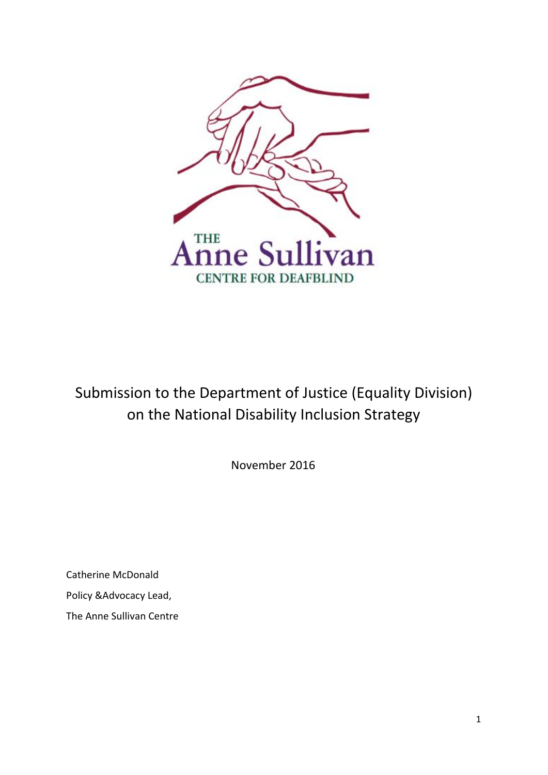

Submission to the Department of Justice (Equality Division) on the National Disability Inclusion Strategy

November 2016

Catherine McDonald Policy &Advocacy Lead, The Anne Sullivan Centre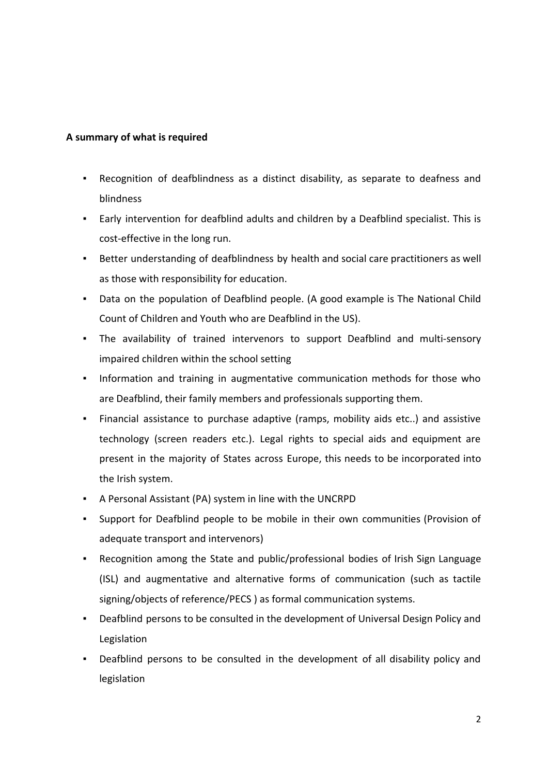## **A summary of what is required**

- Recognition of deafblindness as a distinct disability, as separate to deafness and blindness
- Early intervention for deafblind adults and children by a Deafblind specialist. This is cost-effective in the long run.
- Better understanding of deafblindness by health and social care practitioners as well as those with responsibility for education.
- Data on the population of Deafblind people. (A good example is The National Child Count of Children and Youth who are Deafblind in the US).
- The availability of trained intervenors to support Deafblind and multi-sensory impaired children within the school setting
- Information and training in augmentative communication methods for those who are Deafblind, their family members and professionals supporting them.
- Financial assistance to purchase adaptive (ramps, mobility aids etc..) and assistive technology (screen readers etc.). Legal rights to special aids and equipment are present in the majority of States across Europe, this needs to be incorporated into the Irish system.
- A Personal Assistant (PA) system in line with the UNCRPD
- Support for Deafblind people to be mobile in their own communities (Provision of adequate transport and intervenors)
- Recognition among the State and public/professional bodies of Irish Sign Language (ISL) and augmentative and alternative forms of communication (such as tactile signing/objects of reference/PECS ) as formal communication systems.
- Deafblind persons to be consulted in the development of Universal Design Policy and Legislation
- Deafblind persons to be consulted in the development of all disability policy and legislation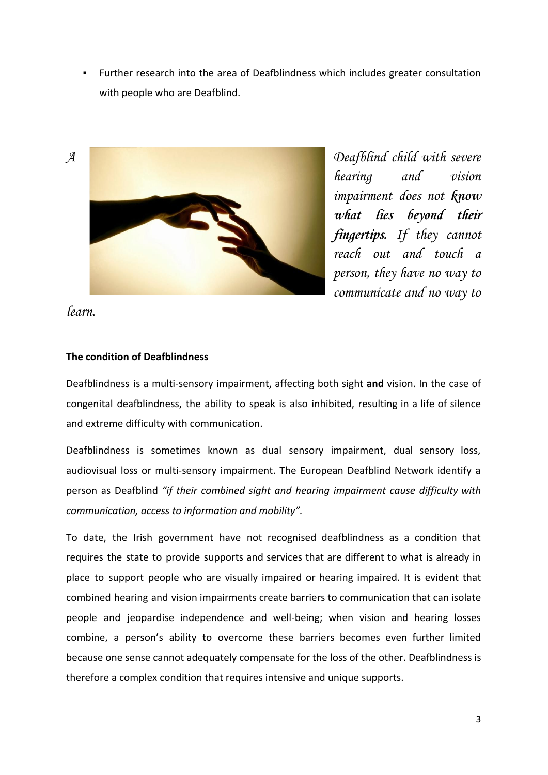▪ Further research into the area of Deafblindness which includes greater consultation with people who are Deafblind.



hearing and vision impairment does not **know** *what lies beyond their fingertips.* If they cannot reach out and touch a person, they have no way to communicate and no way to

learn.

# **The condition of Deafblindness**

Deafblindness is a multi-sensory impairment, affecting both sight **and** vision. In the case of congenital deafblindness, the ability to speak is also inhibited, resulting in a life of silence and extreme difficulty with communication.

Deafblindness is sometimes known as dual sensory impairment, dual sensory loss, audiovisual loss or multi-sensory impairment. The European Deafblind Network identify a person as Deafblind *"if their combined sight and hearing impairment cause difficulty with communication, access to information and mobility".*

To date, the Irish government have not recognised deafblindness as a condition that requires the state to provide supports and services that are different to what is already in place to support people who are visually impaired or hearing impaired. It is evident that combined hearing and vision impairments create barriers to communication that can isolate people and jeopardise independence and well-being; when vision and hearing losses combine, a person's ability to overcome these barriers becomes even further limited because one sense cannot adequately compensate for the loss of the other. Deafblindness is therefore a complex condition that requires intensive and unique supports.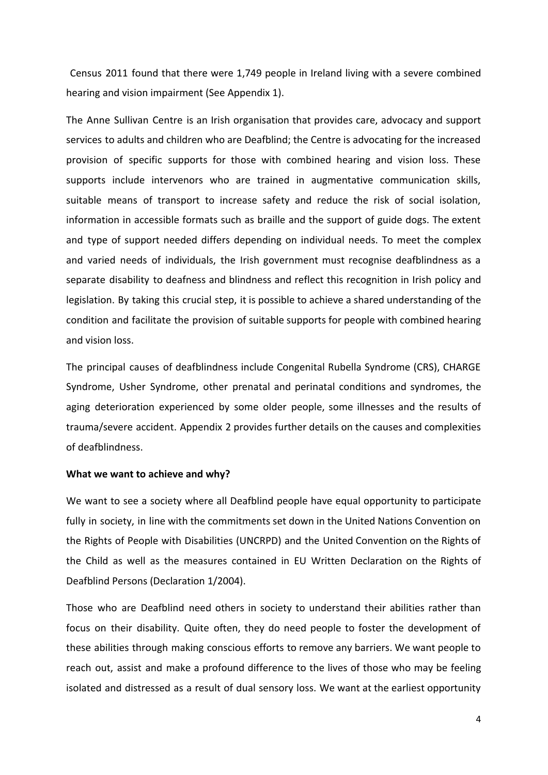Census 2011 found that there were 1,749 people in Ireland living with a severe combined hearing and vision impairment (See Appendix 1).

The Anne Sullivan Centre is an Irish organisation that provides care, advocacy and support services to adults and children who are Deafblind; the Centre is advocating for the increased provision of specific supports for those with combined hearing and vision loss. These supports include intervenors who are trained in augmentative communication skills, suitable means of transport to increase safety and reduce the risk of social isolation, information in accessible formats such as braille and the support of guide dogs. The extent and type of support needed differs depending on individual needs. To meet the complex and varied needs of individuals, the Irish government must recognise deafblindness as a separate disability to deafness and blindness and reflect this recognition in Irish policy and legislation. By taking this crucial step, it is possible to achieve a shared understanding of the condition and facilitate the provision of suitable supports for people with combined hearing and vision loss.

The principal causes of deafblindness include Congenital Rubella Syndrome (CRS), CHARGE Syndrome, Usher Syndrome, other prenatal and perinatal conditions and syndromes, the aging deterioration experienced by some older people, some illnesses and the results of trauma/severe accident. Appendix 2 provides further details on the causes and complexities of deafblindness.

### **What we want to achieve and why?**

We want to see a society where all Deafblind people have equal opportunity to participate fully in society, in line with the commitments set down in the United Nations Convention on the Rights of People with Disabilities (UNCRPD) and the United Convention on the Rights of the Child as well as the measures contained in EU Written Declaration on the Rights of Deafblind Persons (Declaration 1/2004).

Those who are Deafblind need others in society to understand their abilities rather than focus on their disability. Quite often, they do need people to foster the development of these abilities through making conscious efforts to remove any barriers. We want people to reach out, assist and make a profound difference to the lives of those who may be feeling isolated and distressed as a result of dual sensory loss. We want at the earliest opportunity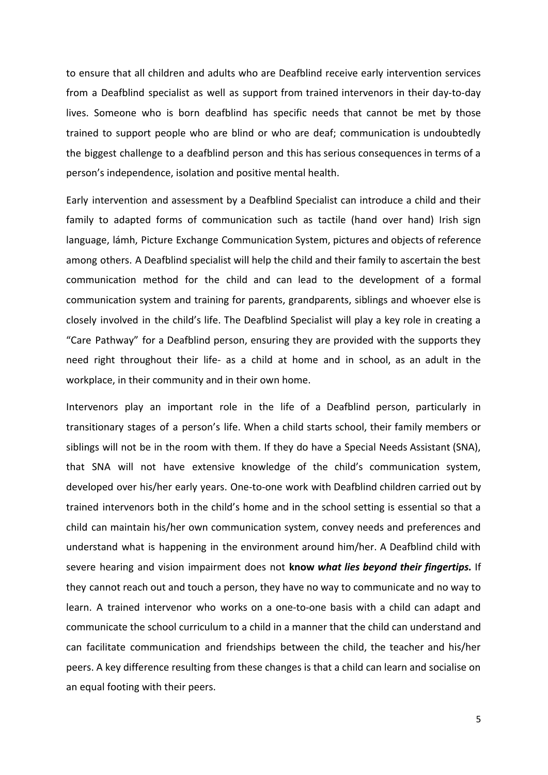to ensure that all children and adults who are Deafblind receive early intervention services from a Deafblind specialist as well as support from trained intervenors in their day-to-day lives. Someone who is born deafblind has specific needs that cannot be met by those trained to support people who are blind or who are deaf; communication is undoubtedly the biggest challenge to a deafblind person and this has serious consequences in terms of a person's independence, isolation and positive mental health.

Early intervention and assessment by a Deafblind Specialist can introduce a child and their family to adapted forms of communication such as tactile (hand over hand) Irish sign language, lámh, Picture Exchange Communication System, pictures and objects of reference among others. A Deafblind specialist will help the child and their family to ascertain the best communication method for the child and can lead to the development of a formal communication system and training for parents, grandparents, siblings and whoever else is closely involved in the child's life. The Deafblind Specialist will play a key role in creating a "Care Pathway" for a Deafblind person, ensuring they are provided with the supports they need right throughout their life- as a child at home and in school, as an adult in the workplace, in their community and in their own home.

Intervenors play an important role in the life of a Deafblind person, particularly in transitionary stages of a person's life. When a child starts school, their family members or siblings will not be in the room with them. If they do have a Special Needs Assistant (SNA), that SNA will not have extensive knowledge of the child's communication system, developed over his/her early years. One-to-one work with Deafblind children carried out by trained intervenors both in the child's home and in the school setting is essential so that a child can maintain his/her own communication system, convey needs and preferences and understand what is happening in the environment around him/her. A Deafblind child with severe hearing and vision impairment does not **know** *what lies beyond their fingertips.* If they cannot reach out and touch a person, they have no way to communicate and no way to learn. A trained intervenor who works on a one-to-one basis with a child can adapt and communicate the school curriculum to a child in a manner that the child can understand and can facilitate communication and friendships between the child, the teacher and his/her peers. A key difference resulting from these changes is that a child can learn and socialise on an equal footing with their peers.

5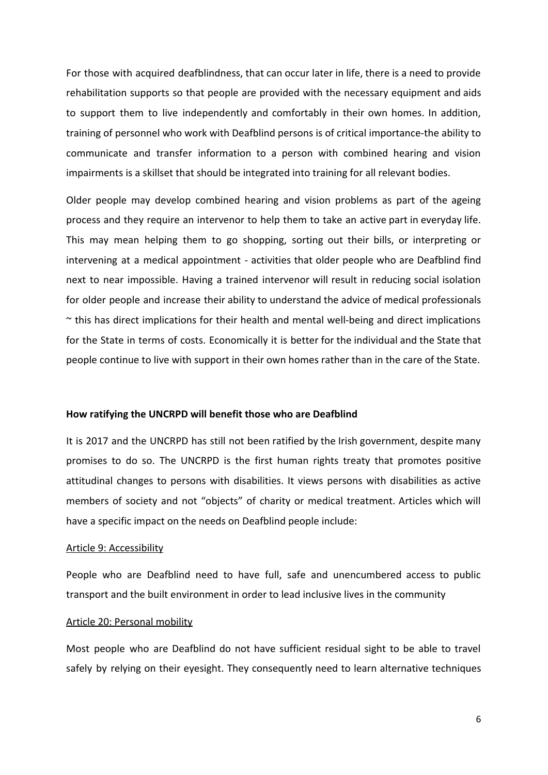For those with acquired deafblindness, that can occur later in life, there is a need to provide rehabilitation supports so that people are provided with the necessary equipment and aids to support them to live independently and comfortably in their own homes. In addition, training of personnel who work with Deafblind persons is of critical importance-the ability to communicate and transfer information to a person with combined hearing and vision impairments is a skillset that should be integrated into training for all relevant bodies.

Older people may develop combined hearing and vision problems as part of the ageing process and they require an intervenor to help them to take an active part in everyday life. This may mean helping them to go shopping, sorting out their bills, or interpreting or intervening at a medical appointment - activities that older people who are Deafblind find next to near impossible. Having a trained intervenor will result in reducing social isolation for older people and increase their ability to understand the advice of medical professionals  $\sim$  this has direct implications for their health and mental well-being and direct implications for the State in terms of costs. Economically it is better for the individual and the State that people continue to live with support in their own homes rather than in the care of the State.

### **How ratifying the UNCRPD will benefit those who are Deafblind**

It is 2017 and the UNCRPD has still not been ratified by the Irish government, despite many promises to do so. The UNCRPD is the first human rights treaty that promotes positive attitudinal changes to persons with disabilities. It views persons with disabilities as active members of society and not "objects" of charity or medical treatment. Articles which will have a specific impact on the needs on Deafblind people include:

#### Article 9: Accessibility

People who are Deafblind need to have full, safe and unencumbered access to public transport and the built environment in order to lead inclusive lives in the community

### Article 20: Personal mobility

Most people who are Deafblind do not have sufficient residual sight to be able to travel safely by relying on their eyesight. They consequently need to learn alternative techniques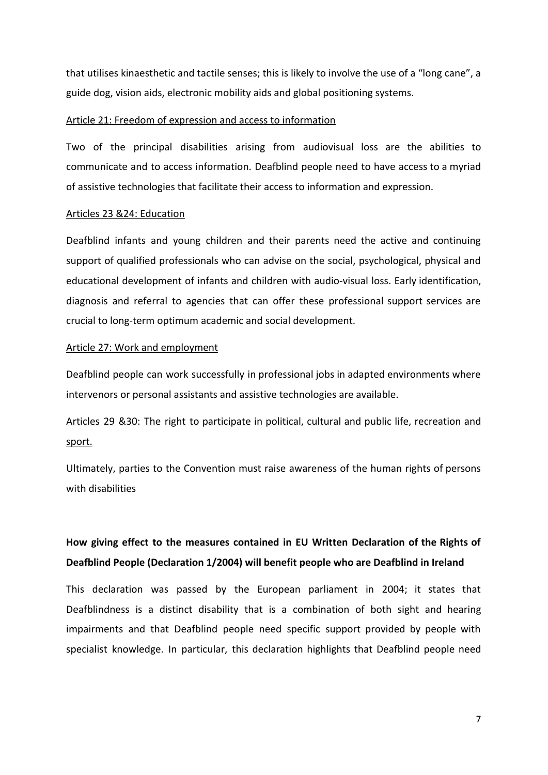that utilises kinaesthetic and tactile senses; this is likely to involve the use of a "long cane", a guide dog, vision aids, electronic mobility aids and global positioning systems.

### Article 21: Freedom of expression and access to information

Two of the principal disabilities arising from audiovisual loss are the abilities to communicate and to access information. Deafblind people need to have access to a myriad of assistive technologies that facilitate their access to information and expression.

### Articles 23 &24: Education

Deafblind infants and young children and their parents need the active and continuing support of qualified professionals who can advise on the social, psychological, physical and educational development of infants and children with audio-visual loss. Early identification, diagnosis and referral to agencies that can offer these professional support services are crucial to long-term optimum academic and social development.

### Article 27: Work and employment

Deafblind people can work successfully in professional jobs in adapted environments where intervenors or personal assistants and assistive technologies are available.

# Articles 29 &30: The right to participate in political, cultural and public life, recreation and sport.

Ultimately, parties to the Convention must raise awareness of the human rights of persons with disabilities

# **How giving effect to the measures contained in EU Written Declaration of the Rights of Deafblind People (Declaration 1/2004) will benefit people who are Deafblind in Ireland**

This declaration was passed by the European parliament in 2004; it states that Deafblindness is a distinct disability that is a combination of both sight and hearing impairments and that Deafblind people need specific support provided by people with specialist knowledge. In particular, this declaration highlights that Deafblind people need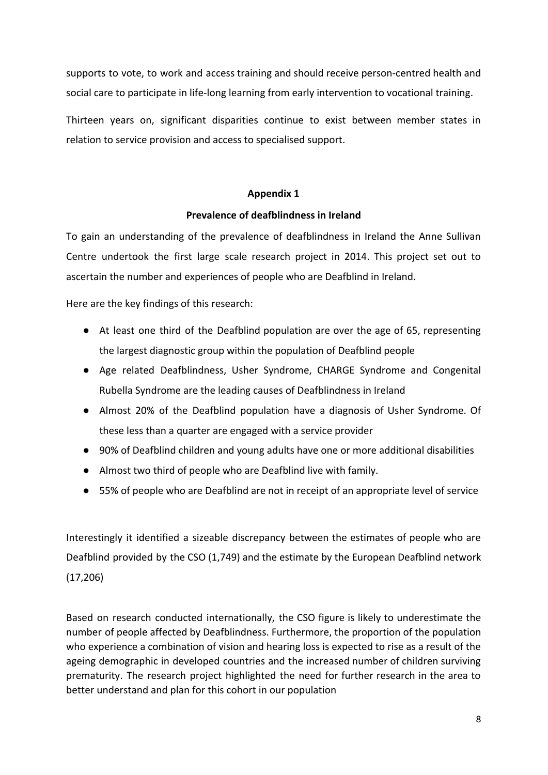supports to vote, to work and access training and should receive person-centred health and social care to participate in life-long learning from early intervention to vocational training.

Thirteen years on, significant disparities continue to exist between member states in relation to service provision and access to specialised support.

## **Appendix 1**

# **Prevalence of deafblindness in Ireland**

To gain an understanding of the prevalence of deafblindness in Ireland the Anne Sullivan Centre undertook the first large scale research project in 2014. This project set out to ascertain the number and experiences of people who are Deafblind in Ireland.

Here are the key findings of this research:

- At least one third of the Deafblind population are over the age of 65, representing the largest diagnostic group within the population of Deafblind people
- Age related Deafblindness, Usher Syndrome, CHARGE Syndrome and Congenital Rubella Syndrome are the leading causes of Deafblindness in Ireland
- Almost 20% of the Deafblind population have a diagnosis of Usher Syndrome. Of these less than a quarter are engaged with a service provider
- 90% of Deafblind children and young adults have one or more additional disabilities
- Almost two third of people who are Deafblind live with family.
- 55% of people who are Deafblind are not in receipt of an appropriate level of service

Interestingly it identified a sizeable discrepancy between the estimates of people who are Deafblind provided by the CSO (1,749) and the estimate by the European Deafblind network (17,206)

Based on research conducted internationally, the CSO figure is likely to underestimate the number of people affected by Deafblindness. Furthermore, the proportion of the population who experience a combination of vision and hearing loss is expected to rise as a result of the ageing demographic in developed countries and the increased number of children surviving prematurity. The research project highlighted the need for further research in the area to better understand and plan for this cohort in our population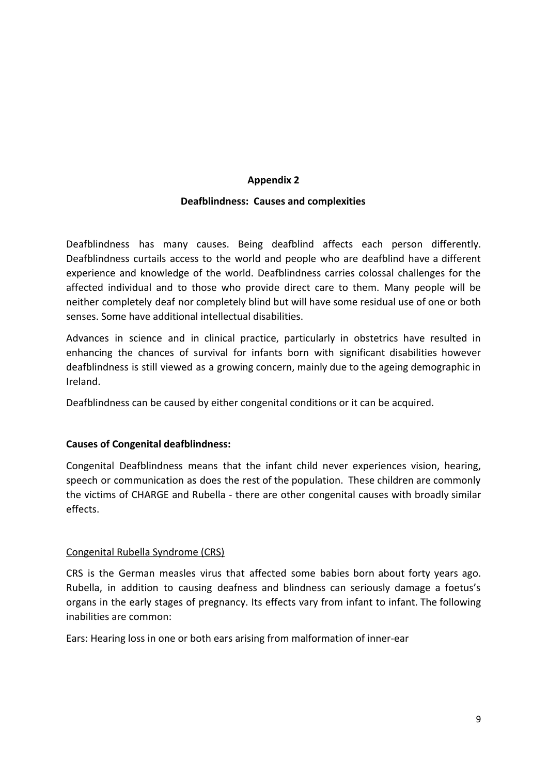# **Appendix 2**

# **Deafblindness: Causes and complexities**

Deafblindness has many causes. Being deafblind affects each person differently. Deafblindness curtails access to the world and people who are deafblind have a different experience and knowledge of the world. Deafblindness carries colossal challenges for the affected individual and to those who provide direct care to them. Many people will be neither completely deaf nor completely blind but will have some residual use of one or both senses. Some have additional intellectual disabilities.

Advances in science and in clinical practice, particularly in obstetrics have resulted in enhancing the chances of survival for infants born with significant disabilities however deafblindness is still viewed as a growing concern, mainly due to the ageing demographic in Ireland.

Deafblindness can be caused by either congenital conditions or it can be acquired.

# **Causes of Congenital deafblindness:**

Congenital Deafblindness means that the infant child never experiences vision, hearing, speech or communication as does the rest of the population. These children are commonly the victims of CHARGE and Rubella - there are other congenital causes with broadly similar effects.

### Congenital Rubella Syndrome (CRS)

CRS is the German measles virus that affected some babies born about forty years ago. Rubella, in addition to causing deafness and blindness can seriously damage a foetus's organs in the early stages of pregnancy. Its effects vary from infant to infant. The following inabilities are common:

Ears: Hearing loss in one or both ears arising from malformation of inner-ear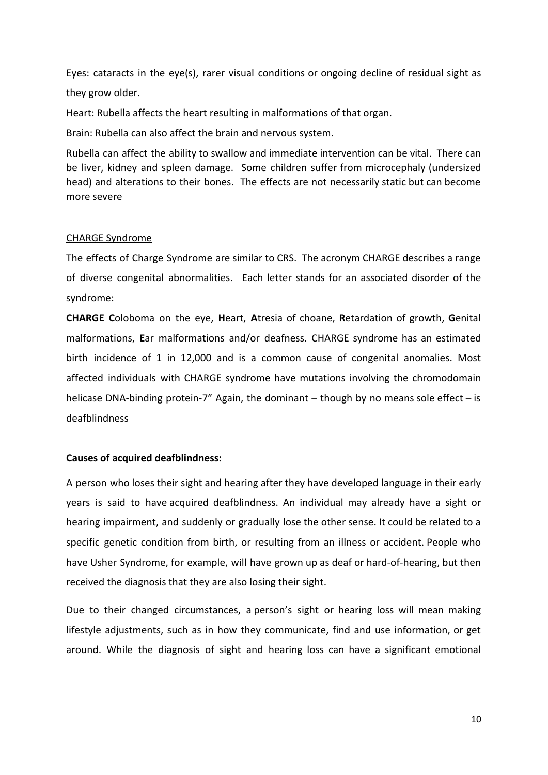Eyes: cataracts in the eye(s), rarer visual conditions or ongoing decline of residual sight as they grow older.

Heart: Rubella affects the heart resulting in malformations of that organ.

Brain: Rubella can also affect the brain and nervous system.

Rubella can affect the ability to swallow and immediate intervention can be vital. There can be liver, kidney and spleen damage. Some children suffer from microcephaly (undersized head) and alterations to their bones. The effects are not necessarily static but can become more severe

### CHARGE Syndrome

The effects of Charge Syndrome are similar to CRS. The acronym CHARGE describes a range of diverse congenital abnormalities. Each letter stands for an associated disorder of the syndrome:

**CHARGE C**oloboma on the eye, **H**eart, **A**tresia of choane, **R**etardation of growth, **G**enital malformations, **E**ar malformations and/or deafness. CHARGE syndrome has an estimated birth incidence of 1 in 12,000 and is a common cause of congenital anomalies. Most affected individuals with CHARGE syndrome have mutations involving the chromodomain helicase DNA-binding protein-7" Again, the dominant  $-$  though by no means sole effect  $-$  is deafblindness

### **Causes of acquired deafblindness:**

A person who loses their sight and hearing after they have developed language in their early years is said to have acquired deafblindness. An individual may already have a sight or hearing impairment, and suddenly or gradually lose the other sense. It could be related to a specific genetic condition from birth, or resulting from an illness or accident. People who have Usher [Syndrome,](https://www.sense.org.uk/usher) for example, will have grown up as deaf or hard-of-hearing, but then received the diagnosis that they are also losing their sight.

Due to their changed circumstances, a person's sight or hearing loss will mean making lifestyle adjustments, such as in how they communicate, find and use information, or get around. While the diagnosis of sight and hearing loss can have a significant emotional